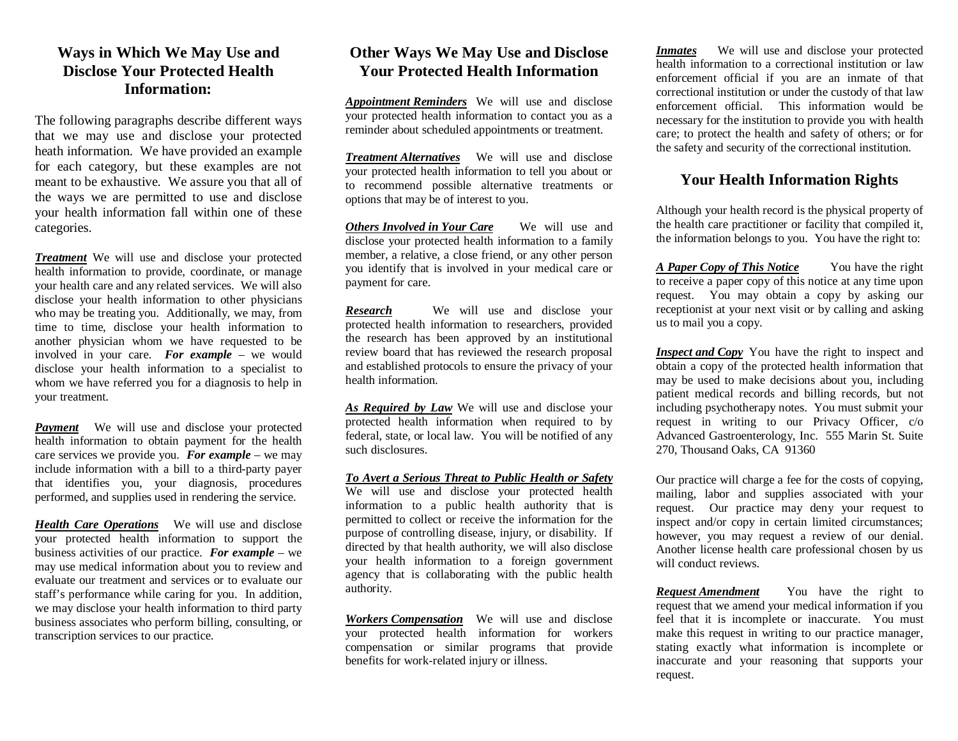## **Ways in Which We May Use and Disclose Your Protected Health Information:**

The following paragraphs describe different ways that we may use and disclose your protected heath information. We have provided an example for each category, but these examples are not meant to be exhaustive. We assure you that all of the ways we are permitted to use and disclose your health information fall within one of these categories.

*Treatment* We will use and disclose your protected health information to provide, coordinate, or manage your health care and any related services. We will also disclose your health information to other physicians who may be treating you. Additionally, we may, from time to time, disclose your health information to another physician whom we have requested to be involved in your care. *For example –* we would disclose your health information to a specialist to whom we have referred you for a diagnosis to help in your treatment.

*Payment* We will use and disclose your protected health information to obtain payment for the health care services we provide you. *For example* – we may include information with a bill to a third-party payer that identifies you, your diagnosis, procedures performed, and supplies used in rendering the service.

*Health Care Operations* We will use and disclose your protected health information to support the business activities of our practice. *For example* – we may use medical information about you to review and evaluate our treatment and services or to evaluate our staff's performance while caring for you. In addition, we may disclose your health information to third party business associates who perform billing, consulting, or transcription services to our practice.

# **Other Ways We May Use and Disclose Your Protected Health Information**

*Appointment Reminders* We will use and disclose your protected health information to contact you as a reminder about scheduled appointments or treatment.

*Treatment Alternatives* We will use and disclose your protected health information to tell you about or to recommend possible alternative treatments or options that may be of interest to you.

*Others Involved in Your Care* We will use and disclose your protected health information to a family member, a relative, a close friend, or any other person you identify that is involved in your medical care or payment for care.

*Research* We will use and disclose your protected health information to researchers, provided the research has been approved by an institutional review board that has reviewed the research proposal and established protocols to ensure the privacy of your health information.

*As Required by Law* We will use and disclose your protected health information when required to by federal, state, or local law. You will be notified of any such disclosures.

*To Avert a Serious Threat to Public Health or Safety* We will use and disclose your protected health information to a public health authority that is permitted to collect or receive the information for the purpose of controlling disease, injury, or disability. If directed by that health authority, we will also disclose your health information to a foreign government agency that is collaborating with the public health authority.

*Workers Compensation* We will use and disclose your protected health information for workers compensation or similar programs that provide benefits for work-related injury or illness.

*Inmates* We will use and disclose your protected health information to a correctional institution or law enforcement official if you are an inmate of that correctional institution or under the custody of that law enforcement official. This information would be necessary for the institution to provide you with health care; to protect the health and safety of others; or for the safety and security of the correctional institution.

# **Your Health Information Rights**

Although your health record is the physical property of the health care practitioner or facility that compiled it, the information belongs to you. You have the right to:

*A Paper Copy of This Notice* You have the right to receive a paper copy of this notice at any time upon request. You may obtain a copy by asking our receptionist at your next visit or by calling and asking us to mail you a copy.

*Inspect and Copy* You have the right to inspect and obtain a copy of the protected health information that may be used to make decisions about you, including patient medical records and billing records, but not including psychotherapy notes. You must submit your request in writing to our Privacy Officer, c/o Advanced Gastroenterology, Inc. 555 Marin St. Suite 270, Thousand Oaks, CA 91360

Our practice will charge a fee for the costs of copying, mailing, labor and supplies associated with your request. Our practice may deny your request to inspect and/or copy in certain limited circumstances; however, you may request a review of our denial. Another license health care professional chosen by us will conduct reviews.

*Request Amendment* You have the right to request that we amend your medical information if you feel that it is incomplete or inaccurate. You must make this request in writing to our practice manager, stating exactly what information is incomplete or inaccurate and your reasoning that supports your request.